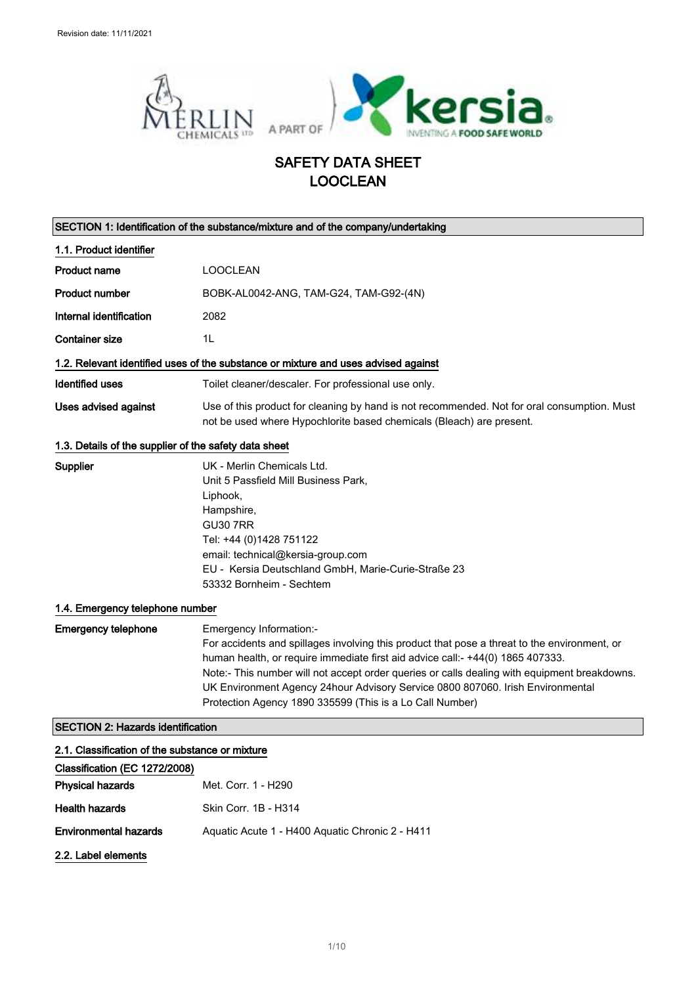

## SAFETY DATA SHEET LOOCLEAN

|                                                                                  | SECTION 1: Identification of the substance/mixture and of the company/undertaking                                                                                                                                                                                                                                                                                                                                                                       |
|----------------------------------------------------------------------------------|---------------------------------------------------------------------------------------------------------------------------------------------------------------------------------------------------------------------------------------------------------------------------------------------------------------------------------------------------------------------------------------------------------------------------------------------------------|
| 1.1. Product identifier                                                          |                                                                                                                                                                                                                                                                                                                                                                                                                                                         |
| <b>Product name</b>                                                              | <b>LOOCLEAN</b>                                                                                                                                                                                                                                                                                                                                                                                                                                         |
| <b>Product number</b>                                                            | BOBK-AL0042-ANG, TAM-G24, TAM-G92-(4N)                                                                                                                                                                                                                                                                                                                                                                                                                  |
| Internal identification                                                          | 2082                                                                                                                                                                                                                                                                                                                                                                                                                                                    |
| <b>Container size</b>                                                            | 1L                                                                                                                                                                                                                                                                                                                                                                                                                                                      |
|                                                                                  | 1.2. Relevant identified uses of the substance or mixture and uses advised against                                                                                                                                                                                                                                                                                                                                                                      |
| <b>Identified uses</b>                                                           | Toilet cleaner/descaler. For professional use only.                                                                                                                                                                                                                                                                                                                                                                                                     |
| <b>Uses advised against</b>                                                      | Use of this product for cleaning by hand is not recommended. Not for oral consumption. Must<br>not be used where Hypochlorite based chemicals (Bleach) are present.                                                                                                                                                                                                                                                                                     |
| 1.3. Details of the supplier of the safety data sheet                            |                                                                                                                                                                                                                                                                                                                                                                                                                                                         |
| Supplier                                                                         | UK - Merlin Chemicals Ltd.<br>Unit 5 Passfield Mill Business Park,<br>Liphook,<br>Hampshire,<br><b>GU30 7RR</b><br>Tel: +44 (0)1428 751122<br>email: technical@kersia-group.com<br>EU - Kersia Deutschland GmbH, Marie-Curie-Straße 23<br>53332 Bornheim - Sechtem                                                                                                                                                                                      |
| 1.4. Emergency telephone number                                                  |                                                                                                                                                                                                                                                                                                                                                                                                                                                         |
| <b>Emergency telephone</b>                                                       | Emergency Information:-<br>For accidents and spillages involving this product that pose a threat to the environment, or<br>human health, or require immediate first aid advice call:- +44(0) 1865 407333.<br>Note:- This number will not accept order queries or calls dealing with equipment breakdowns.<br>UK Environment Agency 24hour Advisory Service 0800 807060. Irish Environmental<br>Protection Agency 1890 335599 (This is a Lo Call Number) |
| <b>SECTION 2: Hazards identification</b>                                         |                                                                                                                                                                                                                                                                                                                                                                                                                                                         |
| 2.1. Classification of the substance or mixture<br>Classification (EC 1272/2008) |                                                                                                                                                                                                                                                                                                                                                                                                                                                         |
| <b>Physical hazards</b>                                                          | Met. Corr. 1 - H290                                                                                                                                                                                                                                                                                                                                                                                                                                     |
| <b>Health hazards</b>                                                            | Skin Corr. 1B - H314                                                                                                                                                                                                                                                                                                                                                                                                                                    |

2.2. Label elements

Environmental hazards Aquatic Acute 1 - H400 Aquatic Chronic 2 - H411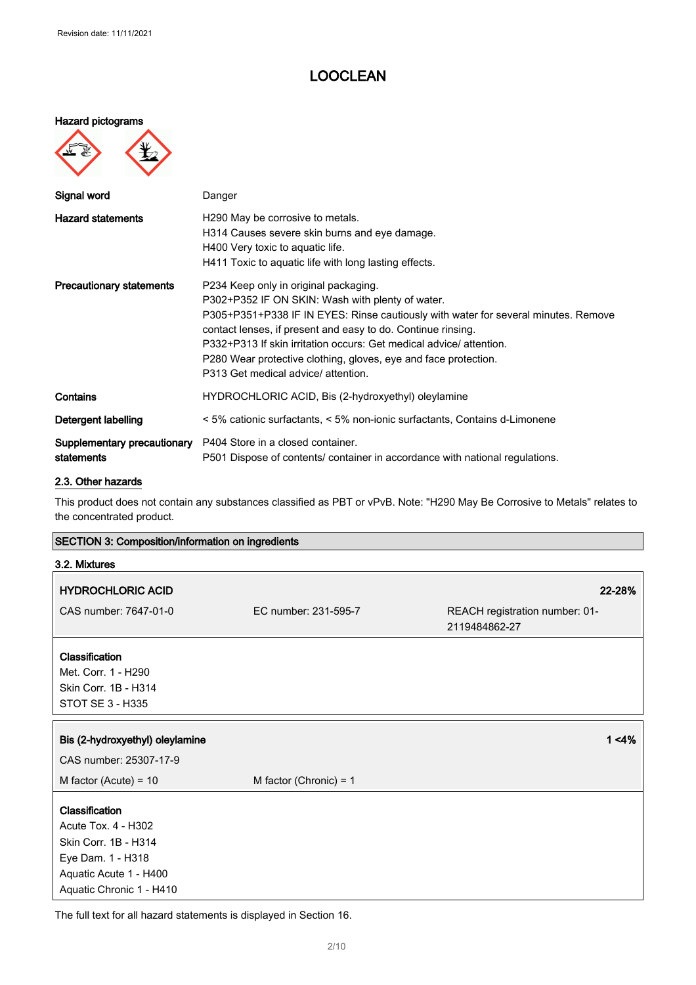#### Hazard pictograms



| Signal word                               | Danger                                                                                                                                                                                                                                                                                                                                                                                                                          |
|-------------------------------------------|---------------------------------------------------------------------------------------------------------------------------------------------------------------------------------------------------------------------------------------------------------------------------------------------------------------------------------------------------------------------------------------------------------------------------------|
| <b>Hazard statements</b>                  | H290 May be corrosive to metals.<br>H314 Causes severe skin burns and eye damage.<br>H400 Very toxic to aquatic life.<br>H411 Toxic to aquatic life with long lasting effects.                                                                                                                                                                                                                                                  |
| <b>Precautionary statements</b>           | P234 Keep only in original packaging.<br>P302+P352 IF ON SKIN: Wash with plenty of water.<br>P305+P351+P338 IF IN EYES: Rinse cautiously with water for several minutes. Remove<br>contact lenses, if present and easy to do. Continue rinsing.<br>P332+P313 If skin irritation occurs: Get medical advice/attention.<br>P280 Wear protective clothing, gloves, eye and face protection.<br>P313 Get medical advice/ attention. |
| Contains                                  | HYDROCHLORIC ACID, Bis (2-hydroxyethyl) oleylamine                                                                                                                                                                                                                                                                                                                                                                              |
| Detergent labelling                       | < 5% cationic surfactants, < 5% non-ionic surfactants, Contains d-Limonene                                                                                                                                                                                                                                                                                                                                                      |
| Supplementary precautionary<br>statements | P404 Store in a closed container.<br>P501 Dispose of contents/ container in accordance with national regulations.                                                                                                                                                                                                                                                                                                               |

#### 2.3. Other hazards

This product does not contain any substances classified as PBT or vPvB. Note: "H290 May Be Corrosive to Metals" relates to the concentrated product.

| <b>SECTION 3: Composition/information on ingredients</b> |                          |                                                 |
|----------------------------------------------------------|--------------------------|-------------------------------------------------|
| 3.2. Mixtures                                            |                          |                                                 |
| <b>HYDROCHLORIC ACID</b>                                 |                          | 22-28%                                          |
| CAS number: 7647-01-0                                    | EC number: 231-595-7     | REACH registration number: 01-<br>2119484862-27 |
| Classification                                           |                          |                                                 |
| Met. Corr. 1 - H290                                      |                          |                                                 |
| Skin Corr. 1B - H314                                     |                          |                                                 |
| STOT SE 3 - H335                                         |                          |                                                 |
| Bis (2-hydroxyethyl) oleylamine                          |                          | $1 < 4\%$                                       |
| CAS number: 25307-17-9                                   |                          |                                                 |
| M factor (Acute) = $10$                                  | M factor (Chronic) = $1$ |                                                 |
| Classification                                           |                          |                                                 |
| Acute Tox. 4 - H302                                      |                          |                                                 |
| Skin Corr. 1B - H314                                     |                          |                                                 |
| Eye Dam. 1 - H318                                        |                          |                                                 |
| Aquatic Acute 1 - H400                                   |                          |                                                 |
| Aquatic Chronic 1 - H410                                 |                          |                                                 |

The full text for all hazard statements is displayed in Section 16.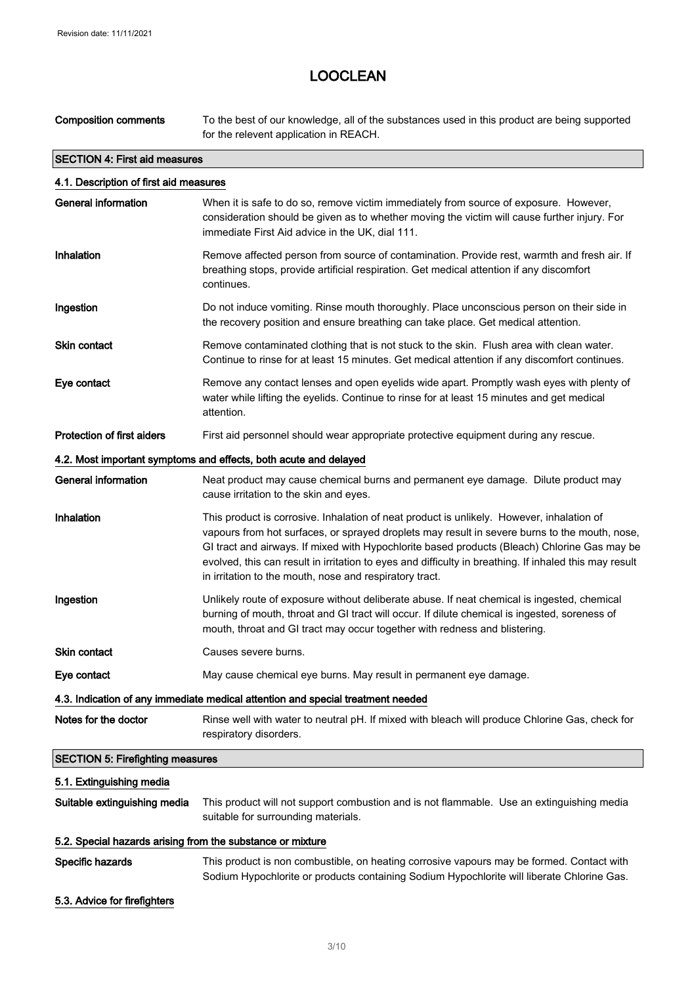$\Box$ 

**Service State** 

### LOOCLEAN

Composition comments To the best of our knowledge, all of the substances used in this product are being supported for the relevent application in REACH.

| <b>SECTION 4: First aid measures</b>    |                                                                                                                                                                                                                                                                                                                                                                                                                                                                 |  |  |
|-----------------------------------------|-----------------------------------------------------------------------------------------------------------------------------------------------------------------------------------------------------------------------------------------------------------------------------------------------------------------------------------------------------------------------------------------------------------------------------------------------------------------|--|--|
| 4.1. Description of first aid measures  |                                                                                                                                                                                                                                                                                                                                                                                                                                                                 |  |  |
| <b>General information</b>              | When it is safe to do so, remove victim immediately from source of exposure. However,<br>consideration should be given as to whether moving the victim will cause further injury. For<br>immediate First Aid advice in the UK, dial 111.                                                                                                                                                                                                                        |  |  |
| Inhalation                              | Remove affected person from source of contamination. Provide rest, warmth and fresh air. If<br>breathing stops, provide artificial respiration. Get medical attention if any discomfort<br>continues.                                                                                                                                                                                                                                                           |  |  |
| Ingestion                               | Do not induce vomiting. Rinse mouth thoroughly. Place unconscious person on their side in<br>the recovery position and ensure breathing can take place. Get medical attention.                                                                                                                                                                                                                                                                                  |  |  |
| <b>Skin contact</b>                     | Remove contaminated clothing that is not stuck to the skin. Flush area with clean water.<br>Continue to rinse for at least 15 minutes. Get medical attention if any discomfort continues.                                                                                                                                                                                                                                                                       |  |  |
| Eye contact                             | Remove any contact lenses and open eyelids wide apart. Promptly wash eyes with plenty of<br>water while lifting the eyelids. Continue to rinse for at least 15 minutes and get medical<br>attention.                                                                                                                                                                                                                                                            |  |  |
| <b>Protection of first aiders</b>       | First aid personnel should wear appropriate protective equipment during any rescue.                                                                                                                                                                                                                                                                                                                                                                             |  |  |
|                                         | 4.2. Most important symptoms and effects, both acute and delayed                                                                                                                                                                                                                                                                                                                                                                                                |  |  |
| General information                     | Neat product may cause chemical burns and permanent eye damage. Dilute product may<br>cause irritation to the skin and eyes.                                                                                                                                                                                                                                                                                                                                    |  |  |
| Inhalation                              | This product is corrosive. Inhalation of neat product is unlikely. However, inhalation of<br>vapours from hot surfaces, or sprayed droplets may result in severe burns to the mouth, nose,<br>GI tract and airways. If mixed with Hypochlorite based products (Bleach) Chlorine Gas may be<br>evolved, this can result in irritation to eyes and difficulty in breathing. If inhaled this may result<br>in irritation to the mouth, nose and respiratory tract. |  |  |
| Ingestion                               | Unlikely route of exposure without deliberate abuse. If neat chemical is ingested, chemical<br>burning of mouth, throat and GI tract will occur. If dilute chemical is ingested, soreness of<br>mouth, throat and GI tract may occur together with redness and blistering.                                                                                                                                                                                      |  |  |
| <b>Skin contact</b>                     | Causes severe burns.                                                                                                                                                                                                                                                                                                                                                                                                                                            |  |  |
| Eye contact                             | May cause chemical eye burns. May result in permanent eye damage.                                                                                                                                                                                                                                                                                                                                                                                               |  |  |
|                                         | 4.3. Indication of any immediate medical attention and special treatment needed                                                                                                                                                                                                                                                                                                                                                                                 |  |  |
| Notes for the doctor                    | Rinse well with water to neutral pH. If mixed with bleach will produce Chlorine Gas, check for<br>respiratory disorders.                                                                                                                                                                                                                                                                                                                                        |  |  |
| <b>SECTION 5: Firefighting measures</b> |                                                                                                                                                                                                                                                                                                                                                                                                                                                                 |  |  |
| 5.1. Extinguishing media                |                                                                                                                                                                                                                                                                                                                                                                                                                                                                 |  |  |
| Suitable extinguishing media            | This product will not support combustion and is not flammable. Use an extinguishing media<br>suitable for surrounding materials.                                                                                                                                                                                                                                                                                                                                |  |  |

#### 5.2. Special hazards arising from the substance or mixture

Specific hazards This product is non combustible, on heating corrosive vapours may be formed. Contact with Sodium Hypochlorite or products containing Sodium Hypochlorite will liberate Chlorine Gas.

#### 5.3. Advice for firefighters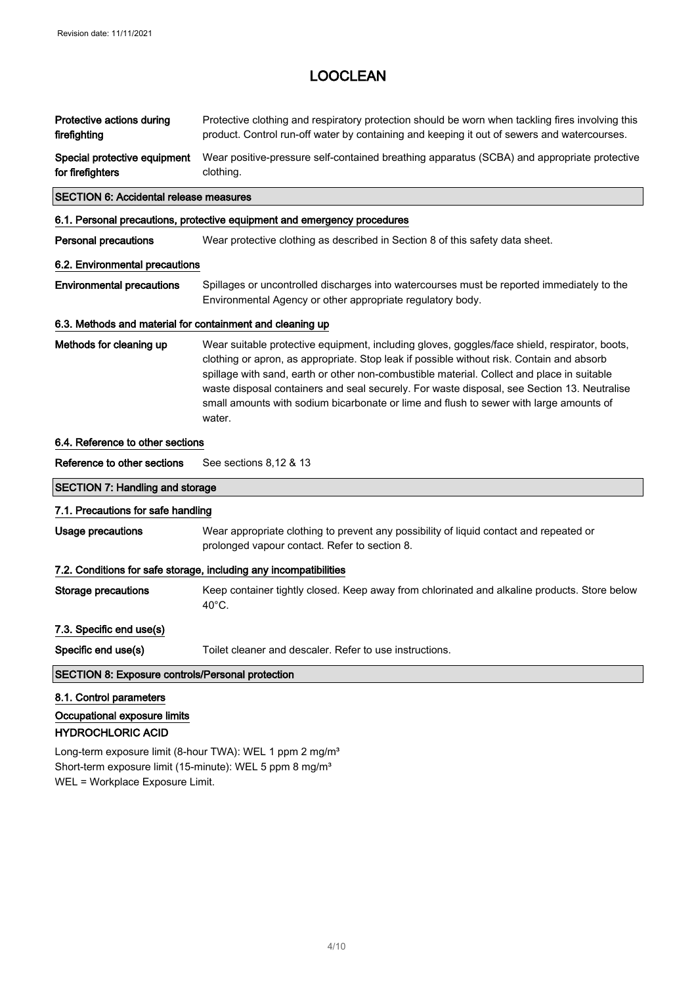| Protective actions during<br>firefighting                                           | Protective clothing and respiratory protection should be worn when tackling fires involving this<br>product. Control run-off water by containing and keeping it out of sewers and watercourses.                                                                                                                                                                                                                                                                                             |
|-------------------------------------------------------------------------------------|---------------------------------------------------------------------------------------------------------------------------------------------------------------------------------------------------------------------------------------------------------------------------------------------------------------------------------------------------------------------------------------------------------------------------------------------------------------------------------------------|
| Special protective equipment<br>for firefighters                                    | Wear positive-pressure self-contained breathing apparatus (SCBA) and appropriate protective<br>clothing.                                                                                                                                                                                                                                                                                                                                                                                    |
| <b>SECTION 6: Accidental release measures</b>                                       |                                                                                                                                                                                                                                                                                                                                                                                                                                                                                             |
|                                                                                     | 6.1. Personal precautions, protective equipment and emergency procedures                                                                                                                                                                                                                                                                                                                                                                                                                    |
| <b>Personal precautions</b>                                                         | Wear protective clothing as described in Section 8 of this safety data sheet.                                                                                                                                                                                                                                                                                                                                                                                                               |
| 6.2. Environmental precautions                                                      |                                                                                                                                                                                                                                                                                                                                                                                                                                                                                             |
| <b>Environmental precautions</b>                                                    | Spillages or uncontrolled discharges into watercourses must be reported immediately to the<br>Environmental Agency or other appropriate regulatory body.                                                                                                                                                                                                                                                                                                                                    |
| 6.3. Methods and material for containment and cleaning up                           |                                                                                                                                                                                                                                                                                                                                                                                                                                                                                             |
| Methods for cleaning up                                                             | Wear suitable protective equipment, including gloves, goggles/face shield, respirator, boots,<br>clothing or apron, as appropriate. Stop leak if possible without risk. Contain and absorb<br>spillage with sand, earth or other non-combustible material. Collect and place in suitable<br>waste disposal containers and seal securely. For waste disposal, see Section 13. Neutralise<br>small amounts with sodium bicarbonate or lime and flush to sewer with large amounts of<br>water. |
| 6.4. Reference to other sections                                                    |                                                                                                                                                                                                                                                                                                                                                                                                                                                                                             |
| Reference to other sections                                                         | See sections 8,12 & 13                                                                                                                                                                                                                                                                                                                                                                                                                                                                      |
| <b>SECTION 7: Handling and storage</b>                                              |                                                                                                                                                                                                                                                                                                                                                                                                                                                                                             |
| 7.1. Precautions for safe handling                                                  |                                                                                                                                                                                                                                                                                                                                                                                                                                                                                             |
| <b>Usage precautions</b>                                                            | Wear appropriate clothing to prevent any possibility of liquid contact and repeated or<br>prolonged vapour contact. Refer to section 8.                                                                                                                                                                                                                                                                                                                                                     |
|                                                                                     | 7.2. Conditions for safe storage, including any incompatibilities                                                                                                                                                                                                                                                                                                                                                                                                                           |
| <b>Storage precautions</b>                                                          | Keep container tightly closed. Keep away from chlorinated and alkaline products. Store below<br>40°C.                                                                                                                                                                                                                                                                                                                                                                                       |
| 7.3. Specific end use(s)                                                            |                                                                                                                                                                                                                                                                                                                                                                                                                                                                                             |
| Specific end use(s)                                                                 | Toilet cleaner and descaler. Refer to use instructions.                                                                                                                                                                                                                                                                                                                                                                                                                                     |
| <b>SECTION 8: Exposure controls/Personal protection</b>                             |                                                                                                                                                                                                                                                                                                                                                                                                                                                                                             |
| 8.1. Control parameters<br>Occupational exposure limits<br><b>HYDROCHLORIC ACID</b> |                                                                                                                                                                                                                                                                                                                                                                                                                                                                                             |

Long-term exposure limit (8-hour TWA): WEL 1 ppm 2 mg/m<sup>3</sup> Short-term exposure limit (15-minute): WEL 5 ppm 8 mg/m<sup>3</sup> WEL = Workplace Exposure Limit.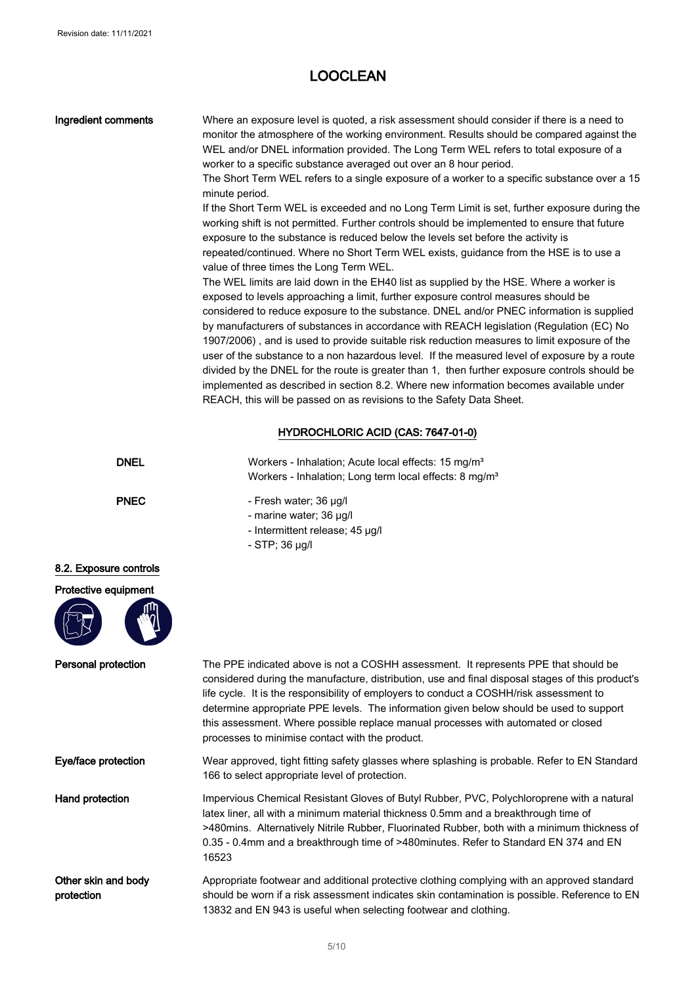| <b>Ingredient comments</b>        | Where an exposure level is quoted, a risk assessment should consider if there is a need to<br>monitor the atmosphere of the working environment. Results should be compared against the<br>WEL and/or DNEL information provided. The Long Term WEL refers to total exposure of a<br>worker to a specific substance averaged out over an 8 hour period.<br>The Short Term WEL refers to a single exposure of a worker to a specific substance over a 15<br>minute period.<br>If the Short Term WEL is exceeded and no Long Term Limit is set, further exposure during the<br>working shift is not permitted. Further controls should be implemented to ensure that future<br>exposure to the substance is reduced below the levels set before the activity is<br>repeated/continued. Where no Short Term WEL exists, guidance from the HSE is to use a<br>value of three times the Long Term WEL.<br>The WEL limits are laid down in the EH40 list as supplied by the HSE. Where a worker is<br>exposed to levels approaching a limit, further exposure control measures should be<br>considered to reduce exposure to the substance. DNEL and/or PNEC information is supplied<br>by manufacturers of substances in accordance with REACH legislation (Regulation (EC) No<br>1907/2006), and is used to provide suitable risk reduction measures to limit exposure of the<br>user of the substance to a non hazardous level. If the measured level of exposure by a route<br>divided by the DNEL for the route is greater than 1, then further exposure controls should be<br>implemented as described in section 8.2. Where new information becomes available under<br>REACH, this will be passed on as revisions to the Safety Data Sheet. |
|-----------------------------------|---------------------------------------------------------------------------------------------------------------------------------------------------------------------------------------------------------------------------------------------------------------------------------------------------------------------------------------------------------------------------------------------------------------------------------------------------------------------------------------------------------------------------------------------------------------------------------------------------------------------------------------------------------------------------------------------------------------------------------------------------------------------------------------------------------------------------------------------------------------------------------------------------------------------------------------------------------------------------------------------------------------------------------------------------------------------------------------------------------------------------------------------------------------------------------------------------------------------------------------------------------------------------------------------------------------------------------------------------------------------------------------------------------------------------------------------------------------------------------------------------------------------------------------------------------------------------------------------------------------------------------------------------------------------------------------------------------------------------------------------|
|                                   | HYDROCHLORIC ACID (CAS: 7647-01-0)                                                                                                                                                                                                                                                                                                                                                                                                                                                                                                                                                                                                                                                                                                                                                                                                                                                                                                                                                                                                                                                                                                                                                                                                                                                                                                                                                                                                                                                                                                                                                                                                                                                                                                          |
| <b>DNEL</b>                       | Workers - Inhalation; Acute local effects: 15 mg/m <sup>3</sup><br>Workers - Inhalation; Long term local effects: 8 mg/m <sup>3</sup>                                                                                                                                                                                                                                                                                                                                                                                                                                                                                                                                                                                                                                                                                                                                                                                                                                                                                                                                                                                                                                                                                                                                                                                                                                                                                                                                                                                                                                                                                                                                                                                                       |
| <b>PNEC</b>                       | - Fresh water; 36 µg/l<br>- marine water; 36 µg/l<br>- Intermittent release; 45 µg/l<br>- STP; 36 µg/l                                                                                                                                                                                                                                                                                                                                                                                                                                                                                                                                                                                                                                                                                                                                                                                                                                                                                                                                                                                                                                                                                                                                                                                                                                                                                                                                                                                                                                                                                                                                                                                                                                      |
| 8.2. Exposure controls            |                                                                                                                                                                                                                                                                                                                                                                                                                                                                                                                                                                                                                                                                                                                                                                                                                                                                                                                                                                                                                                                                                                                                                                                                                                                                                                                                                                                                                                                                                                                                                                                                                                                                                                                                             |
| Protective equipment              |                                                                                                                                                                                                                                                                                                                                                                                                                                                                                                                                                                                                                                                                                                                                                                                                                                                                                                                                                                                                                                                                                                                                                                                                                                                                                                                                                                                                                                                                                                                                                                                                                                                                                                                                             |
| Personal protection               | The PPE indicated above is not a COSHH assessment. It represents PPE that should be<br>considered during the manufacture, distribution, use and final disposal stages of this product's<br>life cycle. It is the responsibility of employers to conduct a COSHH/risk assessment to<br>determine appropriate PPE levels. The information given below should be used to support<br>this assessment. Where possible replace manual processes with automated or closed<br>processes to minimise contact with the product.                                                                                                                                                                                                                                                                                                                                                                                                                                                                                                                                                                                                                                                                                                                                                                                                                                                                                                                                                                                                                                                                                                                                                                                                                       |
| Eye/face protection               | Wear approved, tight fitting safety glasses where splashing is probable. Refer to EN Standard<br>166 to select appropriate level of protection.                                                                                                                                                                                                                                                                                                                                                                                                                                                                                                                                                                                                                                                                                                                                                                                                                                                                                                                                                                                                                                                                                                                                                                                                                                                                                                                                                                                                                                                                                                                                                                                             |
| <b>Hand protection</b>            | Impervious Chemical Resistant Gloves of Butyl Rubber, PVC, Polychloroprene with a natural<br>latex liner, all with a minimum material thickness 0.5mm and a breakthrough time of<br>>480mins. Alternatively Nitrile Rubber, Fluorinated Rubber, both with a minimum thickness of<br>0.35 - 0.4mm and a breakthrough time of >480minutes. Refer to Standard EN 374 and EN<br>16523                                                                                                                                                                                                                                                                                                                                                                                                                                                                                                                                                                                                                                                                                                                                                                                                                                                                                                                                                                                                                                                                                                                                                                                                                                                                                                                                                           |
| Other skin and body<br>protection | Appropriate footwear and additional protective clothing complying with an approved standard<br>should be worn if a risk assessment indicates skin contamination is possible. Reference to EN<br>13832 and EN 943 is useful when selecting footwear and clothing.                                                                                                                                                                                                                                                                                                                                                                                                                                                                                                                                                                                                                                                                                                                                                                                                                                                                                                                                                                                                                                                                                                                                                                                                                                                                                                                                                                                                                                                                            |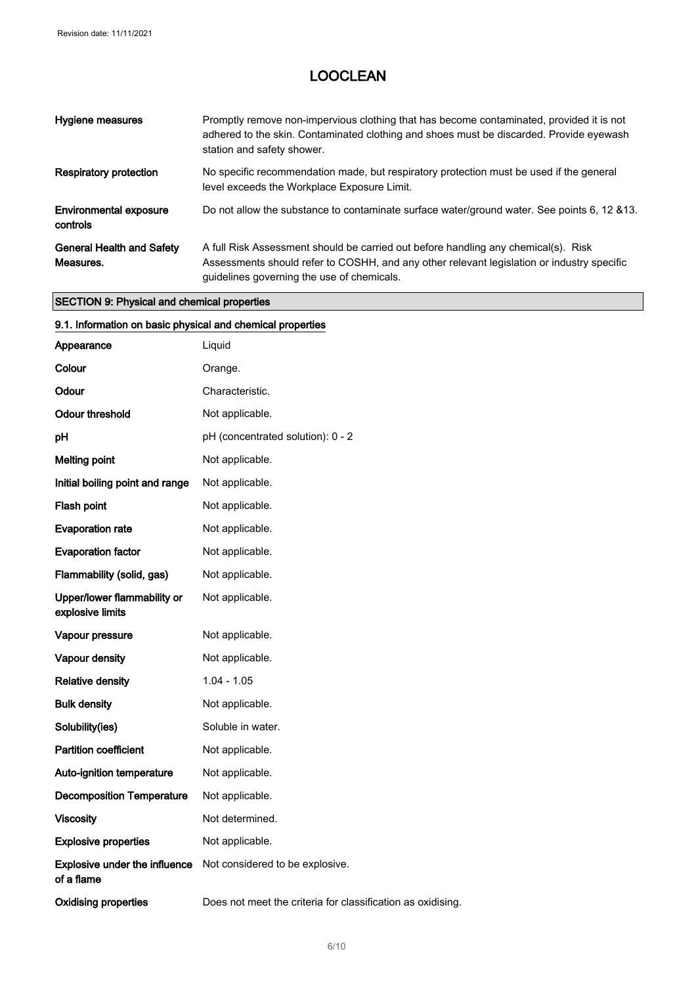| Hygiene measures                              | Promptly remove non-impervious clothing that has become contaminated, provided it is not<br>adhered to the skin. Contaminated clothing and shoes must be discarded. Provide eyewash<br>station and safety shower.              |
|-----------------------------------------------|--------------------------------------------------------------------------------------------------------------------------------------------------------------------------------------------------------------------------------|
| <b>Respiratory protection</b>                 | No specific recommendation made, but respiratory protection must be used if the general<br>level exceeds the Workplace Exposure Limit.                                                                                         |
| <b>Environmental exposure</b><br>controls     | Do not allow the substance to contaminate surface water/ground water. See points 6, 12 & 13.                                                                                                                                   |
| <b>General Health and Safety</b><br>Measures. | A full Risk Assessment should be carried out before handling any chemical(s). Risk<br>Assessments should refer to COSHH, and any other relevant legislation or industry specific<br>quidelines governing the use of chemicals. |

### SECTION 9: Physical and chemical properties

| 9.1. Information on basic physical and chemical properties |                                                             |
|------------------------------------------------------------|-------------------------------------------------------------|
| Appearance                                                 | Liquid                                                      |
| Colour                                                     | Orange.                                                     |
| Odour                                                      | Characteristic.                                             |
| <b>Odour threshold</b>                                     | Not applicable.                                             |
| pH                                                         | pH (concentrated solution): 0 - 2                           |
| <b>Melting point</b>                                       | Not applicable.                                             |
| Initial boiling point and range                            | Not applicable.                                             |
| Flash point                                                | Not applicable.                                             |
| <b>Evaporation rate</b>                                    | Not applicable.                                             |
| <b>Evaporation factor</b>                                  | Not applicable.                                             |
| Flammability (solid, gas)                                  | Not applicable.                                             |
| Upper/lower flammability or<br>explosive limits            | Not applicable.                                             |
| Vapour pressure                                            | Not applicable.                                             |
| Vapour density                                             | Not applicable.                                             |
| <b>Relative density</b>                                    | $1.04 - 1.05$                                               |
| <b>Bulk density</b>                                        | Not applicable.                                             |
| Solubility(ies)                                            | Soluble in water.                                           |
| <b>Partition coefficient</b>                               | Not applicable.                                             |
| Auto-ignition temperature                                  | Not applicable.                                             |
| <b>Decomposition Temperature</b>                           | Not applicable.                                             |
| <b>Viscosity</b>                                           | Not determined.                                             |
| <b>Explosive properties</b>                                | Not applicable.                                             |
| <b>Explosive under the influence</b><br>of a flame         | Not considered to be explosive.                             |
| <b>Oxidising properties</b>                                | Does not meet the criteria for classification as oxidising. |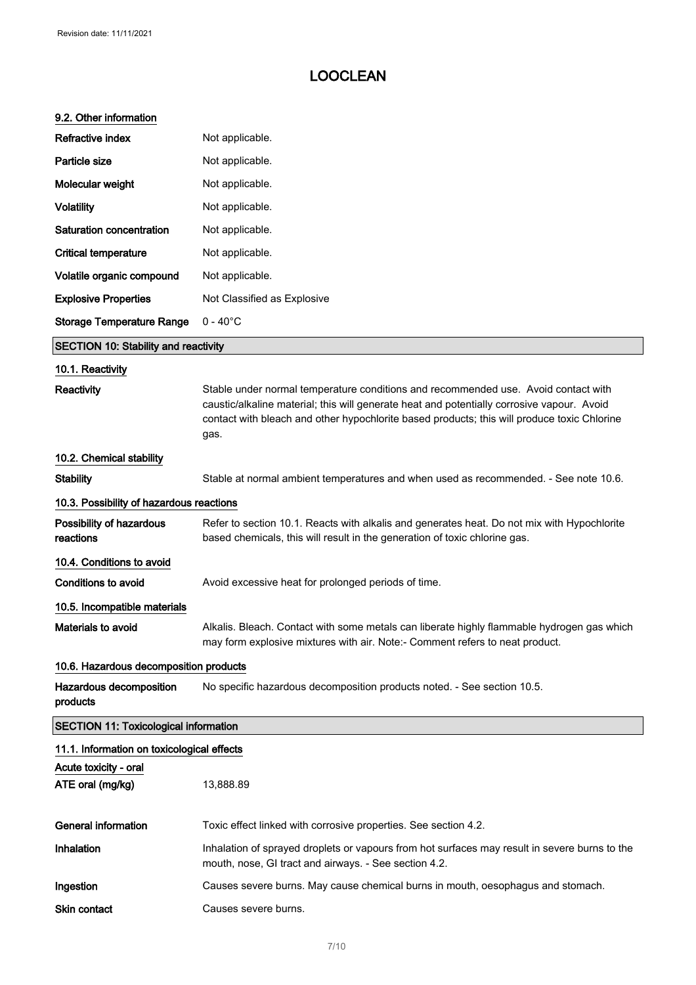#### 9.2. Other information

| <b>Refractive index</b>                      | Not applicable.                                                                                                                                                                                                                                                                         |
|----------------------------------------------|-----------------------------------------------------------------------------------------------------------------------------------------------------------------------------------------------------------------------------------------------------------------------------------------|
| Particle size                                | Not applicable.                                                                                                                                                                                                                                                                         |
| Molecular weight                             | Not applicable.                                                                                                                                                                                                                                                                         |
| <b>Volatility</b>                            | Not applicable.                                                                                                                                                                                                                                                                         |
| Saturation concentration                     | Not applicable.                                                                                                                                                                                                                                                                         |
| <b>Critical temperature</b>                  | Not applicable.                                                                                                                                                                                                                                                                         |
| Volatile organic compound                    | Not applicable.                                                                                                                                                                                                                                                                         |
| <b>Explosive Properties</b>                  | Not Classified as Explosive                                                                                                                                                                                                                                                             |
| <b>Storage Temperature Range</b>             | $0 - 40^{\circ}$ C                                                                                                                                                                                                                                                                      |
| <b>SECTION 10: Stability and reactivity</b>  |                                                                                                                                                                                                                                                                                         |
| 10.1. Reactivity                             |                                                                                                                                                                                                                                                                                         |
| Reactivity                                   | Stable under normal temperature conditions and recommended use. Avoid contact with<br>caustic/alkaline material; this will generate heat and potentially corrosive vapour. Avoid<br>contact with bleach and other hypochlorite based products; this will produce toxic Chlorine<br>gas. |
| 10.2. Chemical stability                     |                                                                                                                                                                                                                                                                                         |
| <b>Stability</b>                             | Stable at normal ambient temperatures and when used as recommended. - See note 10.6.                                                                                                                                                                                                    |
| 10.3. Possibility of hazardous reactions     |                                                                                                                                                                                                                                                                                         |
| Possibility of hazardous<br>reactions        | Refer to section 10.1. Reacts with alkalis and generates heat. Do not mix with Hypochlorite<br>based chemicals, this will result in the generation of toxic chlorine gas.                                                                                                               |
| 10.4. Conditions to avoid                    |                                                                                                                                                                                                                                                                                         |
| <b>Conditions to avoid</b>                   | Avoid excessive heat for prolonged periods of time.                                                                                                                                                                                                                                     |
| 10.5. Incompatible materials                 |                                                                                                                                                                                                                                                                                         |
| Materials to avoid                           | Alkalis. Bleach. Contact with some metals can liberate highly flammable hydrogen gas which<br>may form explosive mixtures with air. Note:- Comment refers to neat product.                                                                                                              |
| 10.6. Hazardous decomposition products       |                                                                                                                                                                                                                                                                                         |
| Hazardous decomposition<br>products          | No specific hazardous decomposition products noted. - See section 10.5.                                                                                                                                                                                                                 |
| <b>SECTION 11: Toxicological information</b> |                                                                                                                                                                                                                                                                                         |
| 11.1. Information on toxicological effects   |                                                                                                                                                                                                                                                                                         |
| Acute toxicity - oral<br>ATE oral (mg/kg)    | 13,888.89                                                                                                                                                                                                                                                                               |
| <b>General information</b>                   | Toxic effect linked with corrosive properties. See section 4.2.                                                                                                                                                                                                                         |
| Inhalation                                   | Inhalation of sprayed droplets or vapours from hot surfaces may result in severe burns to the<br>mouth, nose, GI tract and airways. - See section 4.2.                                                                                                                                  |
| Ingestion                                    | Causes severe burns. May cause chemical burns in mouth, oesophagus and stomach.                                                                                                                                                                                                         |
| <b>Skin contact</b>                          | Causes severe burns.                                                                                                                                                                                                                                                                    |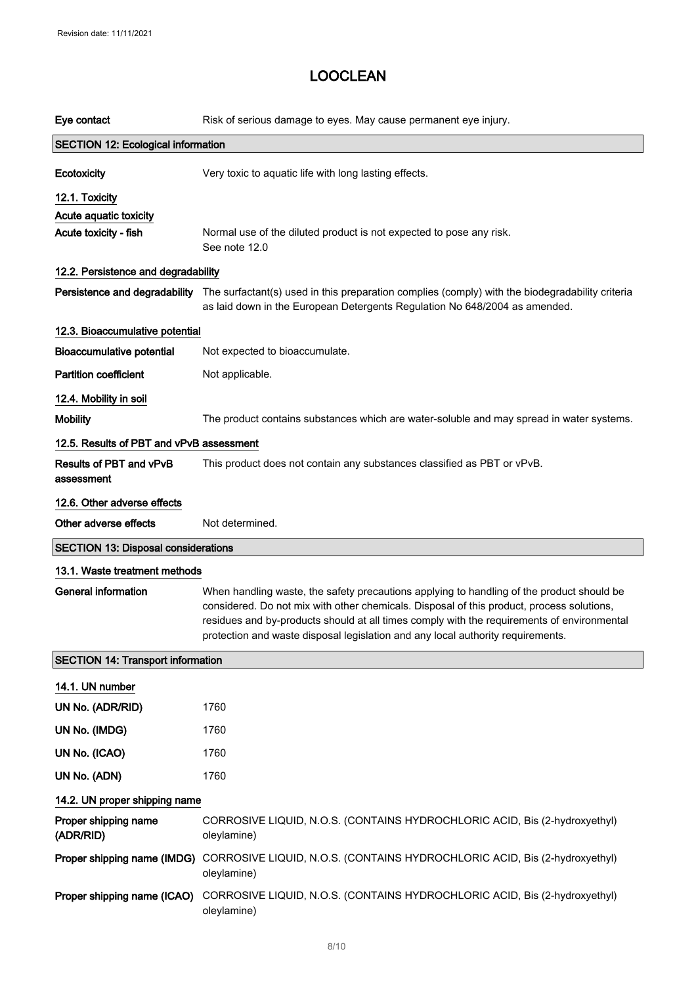| Eye contact                                | Risk of serious damage to eyes. May cause permanent eye injury.                                                                                                                                                                                                                                                                                                         |
|--------------------------------------------|-------------------------------------------------------------------------------------------------------------------------------------------------------------------------------------------------------------------------------------------------------------------------------------------------------------------------------------------------------------------------|
| <b>SECTION 12: Ecological information</b>  |                                                                                                                                                                                                                                                                                                                                                                         |
| Ecotoxicity                                | Very toxic to aquatic life with long lasting effects.                                                                                                                                                                                                                                                                                                                   |
| 12.1. Toxicity                             |                                                                                                                                                                                                                                                                                                                                                                         |
| Acute aquatic toxicity                     |                                                                                                                                                                                                                                                                                                                                                                         |
| Acute toxicity - fish                      | Normal use of the diluted product is not expected to pose any risk.<br>See note 12.0                                                                                                                                                                                                                                                                                    |
| 12.2. Persistence and degradability        |                                                                                                                                                                                                                                                                                                                                                                         |
|                                            | Persistence and degradability The surfactant(s) used in this preparation complies (comply) with the biodegradability criteria<br>as laid down in the European Detergents Regulation No 648/2004 as amended.                                                                                                                                                             |
| 12.3. Bioaccumulative potential            |                                                                                                                                                                                                                                                                                                                                                                         |
| <b>Bioaccumulative potential</b>           | Not expected to bioaccumulate.                                                                                                                                                                                                                                                                                                                                          |
| <b>Partition coefficient</b>               | Not applicable.                                                                                                                                                                                                                                                                                                                                                         |
| 12.4. Mobility in soil                     |                                                                                                                                                                                                                                                                                                                                                                         |
| <b>Mobility</b>                            | The product contains substances which are water-soluble and may spread in water systems.                                                                                                                                                                                                                                                                                |
| 12.5. Results of PBT and vPvB assessment   |                                                                                                                                                                                                                                                                                                                                                                         |
| Results of PBT and vPvB<br>assessment      | This product does not contain any substances classified as PBT or vPvB.                                                                                                                                                                                                                                                                                                 |
| 12.6. Other adverse effects                |                                                                                                                                                                                                                                                                                                                                                                         |
|                                            |                                                                                                                                                                                                                                                                                                                                                                         |
| Other adverse effects                      | Not determined.                                                                                                                                                                                                                                                                                                                                                         |
| <b>SECTION 13: Disposal considerations</b> |                                                                                                                                                                                                                                                                                                                                                                         |
| 13.1. Waste treatment methods              |                                                                                                                                                                                                                                                                                                                                                                         |
| General information                        | When handling waste, the safety precautions applying to handling of the product should be<br>considered. Do not mix with other chemicals. Disposal of this product, process solutions,<br>residues and by-products should at all times comply with the requirements of environmental<br>protection and waste disposal legislation and any local authority requirements. |
| <b>SECTION 14: Transport information</b>   |                                                                                                                                                                                                                                                                                                                                                                         |
| 14.1. UN number                            |                                                                                                                                                                                                                                                                                                                                                                         |
| UN No. (ADR/RID)                           | 1760                                                                                                                                                                                                                                                                                                                                                                    |
| UN No. (IMDG)                              | 1760                                                                                                                                                                                                                                                                                                                                                                    |
| UN No. (ICAO)                              | 1760                                                                                                                                                                                                                                                                                                                                                                    |
| UN No. (ADN)                               | 1760                                                                                                                                                                                                                                                                                                                                                                    |
| 14.2. UN proper shipping name              |                                                                                                                                                                                                                                                                                                                                                                         |
| Proper shipping name<br>(ADR/RID)          | CORROSIVE LIQUID, N.O.S. (CONTAINS HYDROCHLORIC ACID, Bis (2-hydroxyethyl)<br>oleylamine)                                                                                                                                                                                                                                                                               |
| Proper shipping name (IMDG)                | CORROSIVE LIQUID, N.O.S. (CONTAINS HYDROCHLORIC ACID, Bis (2-hydroxyethyl)<br>oleylamine)                                                                                                                                                                                                                                                                               |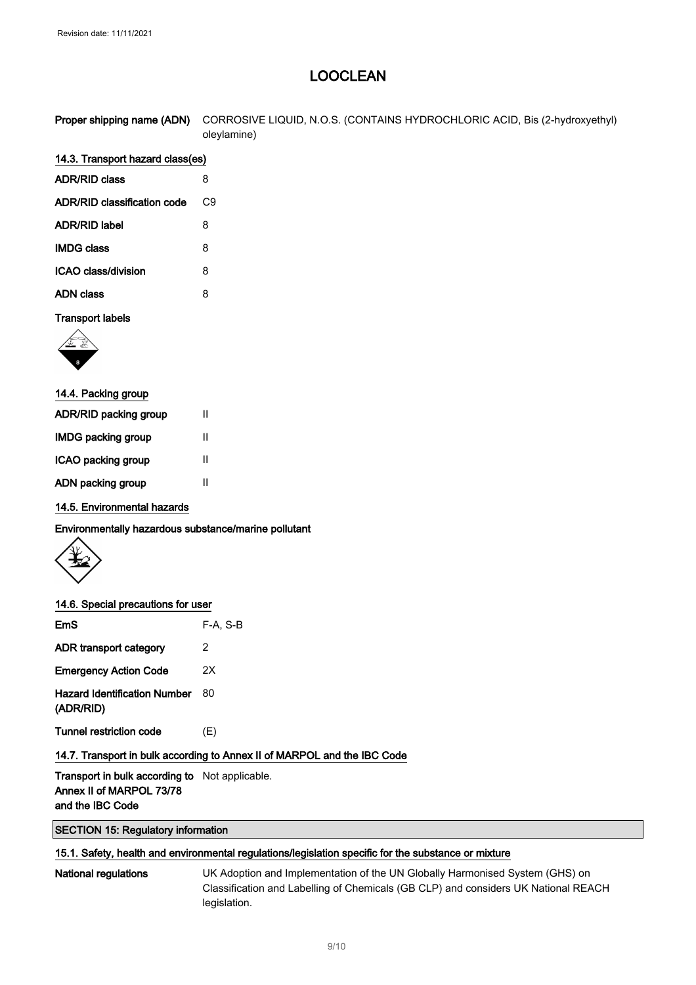| Proper shipping name (ADN) CORROSIVE LIQUID, N.O.S. (CONTAINS HYDROCHLORIC ACID, Bis (2-hydroxyethyl) |
|-------------------------------------------------------------------------------------------------------|
| oleylamine)                                                                                           |

### 14.3. Transport hazard class(es)

| <b>ADR/RID class</b>               | 8  |
|------------------------------------|----|
| <b>ADR/RID classification code</b> | C9 |
| <b>ADR/RID label</b>               | 8  |
| <b>IMDG class</b>                  | 8  |
| ICAO class/division                | 8  |
| ADN class                          | 8  |

#### Transport labels



| Ш |
|---|
| Ш |
| Ш |
| Ш |
|   |

#### 14.5. Environmental hazards

Environmentally hazardous substance/marine pollutant



#### 14.6. Special precautions for user

| EmS                                              | $F-A, S-B$ |
|--------------------------------------------------|------------|
| ADR transport category                           | 2          |
| <b>Emergency Action Code</b>                     | 2Χ         |
| <b>Hazard Identification Number</b><br>(ADR/RID) | 80         |
| Tunnel restriction code                          | (E)        |
|                                                  |            |

#### 14.7. Transport in bulk according to Annex II of MARPOL and the IBC Code

Transport in bulk according to Not applicable. Annex II of MARPOL 73/78 and the IBC Code

SECTION 15: Regulatory information

#### 15.1. Safety, health and environmental regulations/legislation specific for the substance or mixture

National regulations UK Adoption and Implementation of the UN Globally Harmonised System (GHS) on Classification and Labelling of Chemicals (GB CLP) and considers UK National REACH legislation.